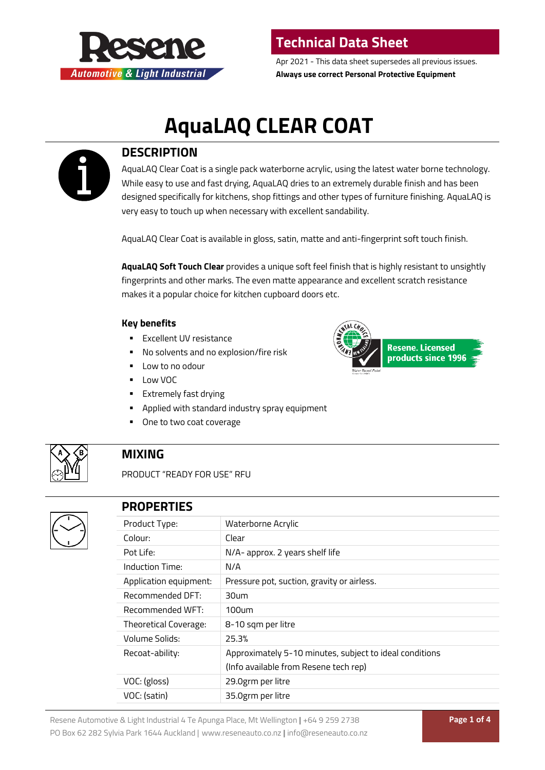

Apr 2021 - This data sheet supersedes all previous issues. **Always use correct Personal Protective Equipment**

# **AquaLAQ CLEAR COAT**



## **DESCRIPTION**

AquaLAQ Clear Coat is a single pack waterborne acrylic, using the latest water borne technology. While easy to use and fast drying, AquaLAQ dries to an extremely durable finish and has been designed specifically for kitchens, shop fittings and other types of furniture finishing. AquaLAQ is very easy to touch up when necessary with excellent sandability.

AquaLAQ Clear Coat is available in gloss, satin, matte and anti-fingerprint soft touch finish.

**AquaLAQ Soft Touch Clear** provides a unique soft feel finish that is highly resistant to unsightly fingerprints and other marks. The even matte appearance and excellent scratch resistance makes it a popular choice for kitchen cupboard doors etc.

#### **Key benefits**

- **Excellent UV resistance**
- No solvents and no explosion/fire risk
- **Low to no odour**
- **Low VOC**
- **Extremely fast drying**
- Applied with standard industry spray equipment
- One to two coat coverage



# **MIXING**

PRODUCT "READY FOR USE" RFU



#### **PROPERTIES**

| Product Type:          | Waterborne Acrylic                                      |
|------------------------|---------------------------------------------------------|
| Colour:                | Clear                                                   |
| Pot Life:              | N/A- approx. 2 years shelf life                         |
| Induction Time:        | N/A                                                     |
| Application equipment: | Pressure pot, suction, gravity or airless.              |
| Recommended DFT:       | 30 <sub>um</sub>                                        |
| Recommended WFT:       | 100um                                                   |
| Theoretical Coverage:  | 8-10 sqm per litre                                      |
| Volume Solids:         | 25.3%                                                   |
| Recoat-ability:        | Approximately 5-10 minutes, subject to ideal conditions |
|                        | (Info available from Resene tech rep)                   |
| VOC: (gloss)           | 29.0grm per litre                                       |
| VOC: (satin)           | 35.0grm per litre                                       |

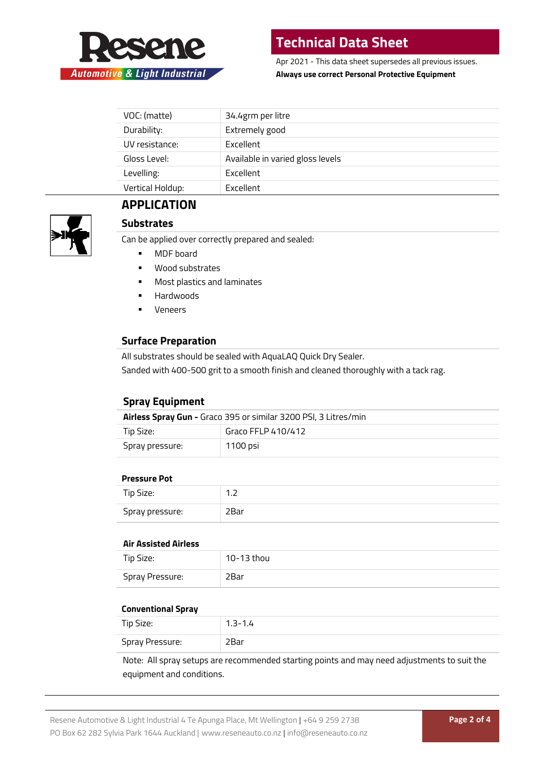

Apr 2021 - This data sheet supersedes all previous issues. **Always use correct Personal Protective Equipment**

| VOC: (matte)     | 34.4grm per litre                |
|------------------|----------------------------------|
| Durability:      | Extremely good                   |
| UV resistance:   | <b>Excellent</b>                 |
| Gloss Level:     | Available in varied gloss levels |
| Levelling:       | Excellent                        |
| Vertical Holdup: | Excellent                        |
|                  |                                  |



# **APPLICATION**

**Substrates**

Can be applied over correctly prepared and sealed:

- MDF board
- Wood substrates
- **Most plastics and laminates**
- **-** Hardwoods
- Veneers

#### **Surface Preparation**

All substrates should be sealed with AquaLAQ Quick Dry Sealer. Sanded with 400-500 grit to a smooth finish and cleaned thoroughly with a tack rag.

#### **Spray Equipment**

| Airless Spray Gun - Graco 395 or similar 3200 PSI, 3 Litres/min |                    |
|-----------------------------------------------------------------|--------------------|
| Tip Size:                                                       | Graco FFLP 410/412 |
| Spray pressure:                                                 | 1100 psi           |

#### **Pressure Pot**

| Tip Size:       | $\overline{\phantom{0}}$<br>$\overline{\phantom{a}}$ |
|-----------------|------------------------------------------------------|
| Spray pressure: | 2Bar                                                 |

#### **Air Assisted Airless**

| ---------<br>___ |            |
|------------------|------------|
| Tip Size:        | 10-13 thou |
| Spray Pressure:  | 2Bar       |

#### **Conventional Spray**

| Tip Size:       | $1.3 - 1.4$ |
|-----------------|-------------|
| Spray Pressure: | 2Bar        |

Note: All spray setups are recommended starting points and may need adjustments to suit the equipment and conditions.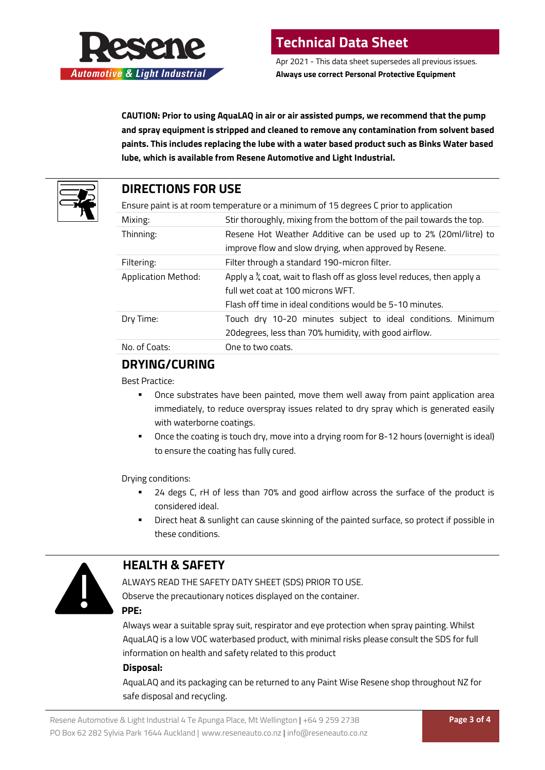

Apr 2021 - This data sheet supersedes all previous issues. **Always use correct Personal Protective Equipment**

**CAUTION: Prior to using AquaLAQ in air or air assisted pumps, we recommend that the pump and spray equipment is stripped and cleaned to remove any contamination from solvent based paints. This includes replacing the lube with a water based product such as Binks Water based lube, which is available from Resene Automotive and Light Industrial.**



### **DIRECTIONS FOR USE**

| Ensure paint is at room temperature or a minimum of 15 degrees C prior to application |                                                                             |
|---------------------------------------------------------------------------------------|-----------------------------------------------------------------------------|
| Mixing:                                                                               | Stir thoroughly, mixing from the bottom of the pail towards the top.        |
| Thinning:                                                                             | Resene Hot Weather Additive can be used up to 2% (20ml/litre) to            |
|                                                                                       | improve flow and slow drying, when approved by Resene.                      |
| Filtering:                                                                            | Filter through a standard 190-micron filter.                                |
| <b>Application Method:</b>                                                            | Apply a $\chi$ coat, wait to flash off as gloss level reduces, then apply a |
|                                                                                       | full wet coat at 100 microns WFT.                                           |
|                                                                                       | Flash off time in ideal conditions would be 5-10 minutes.                   |
| Dry Time:                                                                             | Touch dry 10-20 minutes subject to ideal conditions. Minimum                |
|                                                                                       | 20 degrees, less than 70% humidity, with good airflow.                      |
| No. of Coats:                                                                         | One to two coats.                                                           |

#### **DRYING/CURING**

Best Practice:

- Once substrates have been painted, move them well away from paint application area immediately, to reduce overspray issues related to dry spray which is generated easily with waterborne coatings.
- Once the coating is touch dry, move into a drying room for 8-12 hours (overnight is ideal) to ensure the coating has fully cured.

Drying conditions:

- 24 degs C, rH of less than 70% and good airflow across the surface of the product is considered ideal.
- Direct heat & sunlight can cause skinning of the painted surface, so protect if possible in these conditions.



# **HEALTH & SAFETY**

ALWAYS READ THE SAFETY DATY SHEET (SDS) PRIOR TO USE. Observe the precautionary notices displayed on the container.

#### **PPE:**

Always wear a suitable spray suit, respirator and eye protection when spray painting. Whilst AquaLAQ is a low VOC waterbased product, with minimal risks please consult the SDS for full information on health and safety related to this product

#### **Disposal:**

AquaLAQ and its packaging can be returned to any Paint Wise Resene shop throughout NZ for safe disposal and recycling.